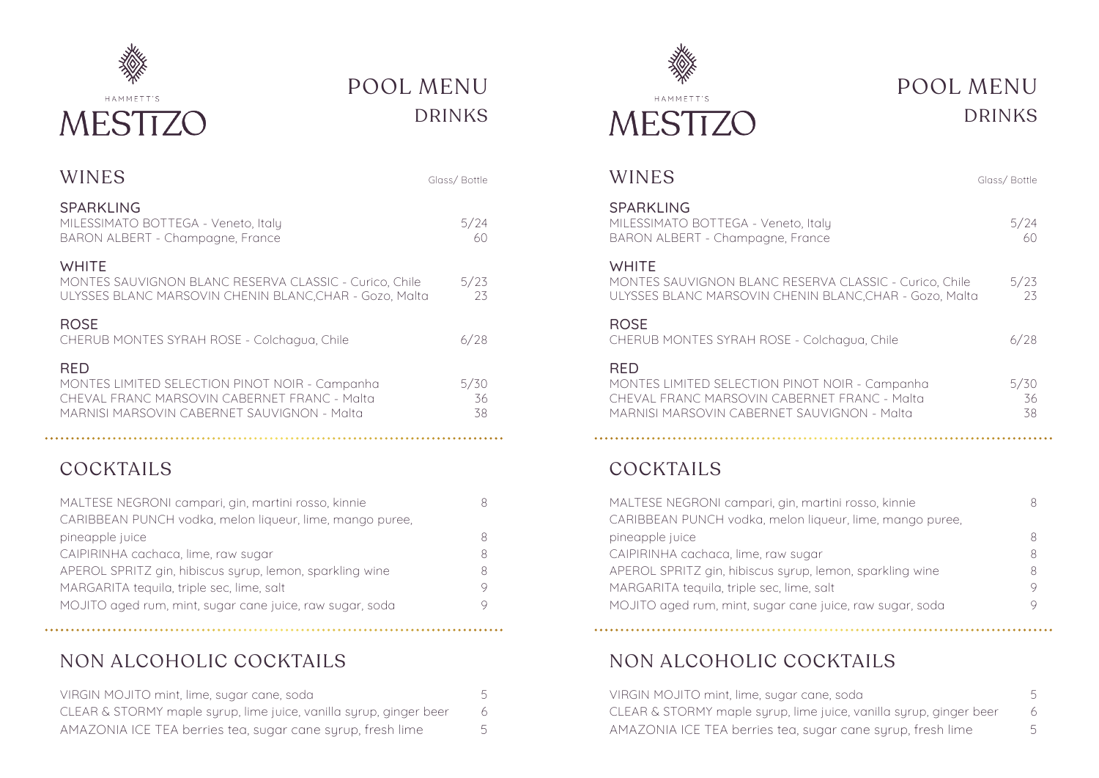

# POOL MENU DRINKS

| WINES                                                                                                                                                | Glass/Bottle     |
|------------------------------------------------------------------------------------------------------------------------------------------------------|------------------|
| <b>SPARKLING</b><br>MILESSIMATO BOTTEGA - Veneto, Italy<br>BARON ALBERT - Champagne, France                                                          | 5/24<br>60       |
| <b>WHITE</b><br>MONTES SAUVIGNON BLANC RESERVA CLASSIC - Curico, Chile<br>ULYSSES BLANC MARSOVIN CHENIN BLANC, CHAR - Gozo, Malta                    | 5/23<br>23       |
| <b>ROSE</b><br>CHERUB MONTES SYRAH ROSE - Colchagua, Chile                                                                                           | 6/28             |
| RED<br>MONTES LIMITED SELECTION PINOT NOIR - Campanha<br>CHEVAL FRANC MARSOVIN CABERNET FRANC - Malta<br>MARNISI MARSOVIN CABERNET SAUVIGNON - Malta | 5/30<br>36<br>38 |

## COCKTAILS

| MALTESE NEGRONI campari, gin, martini rosso, kinnie      | 8 |
|----------------------------------------------------------|---|
| CARIBBEAN PUNCH vodka, melon liqueur, lime, mango puree, |   |
| pineapple juice                                          | 8 |
| CAIPIRINHA cachaca, lime, raw sugar                      | R |
| APEROL SPRITZ gin, hibiscus syrup, lemon, sparkling wine | 8 |
| MARGARITA tequila, triple sec, lime, salt                | 9 |
| MOJITO aged rum, mint, sugar cane juice, raw sugar, soda | 9 |
|                                                          |   |

## NON ALCOHOLIC COCKTAILS

| VIRGIN MOJITO mint, lime, sugar cane, soda                         | 5 |
|--------------------------------------------------------------------|---|
| CLEAR & STORMY maple syrup, lime juice, vanilla syrup, ginger beer |   |
| AMAZONIA ICE TEA berries tea, sugar cane syrup, fresh lime         | 5 |



## POOL MENU DRINKS

| WINES                                                                                                                                                       | Glass/Bottle     |
|-------------------------------------------------------------------------------------------------------------------------------------------------------------|------------------|
| SPARKLING<br>MILESSIMATO BOTTEGA - Veneto, Italy<br>BARON ALBERT - Champagne, France                                                                        | 5/24<br>60       |
| <b>WHITE</b><br>MONTES SAUVIGNON BLANC RESERVA CLASSIC - Curico, Chile<br>ULYSSES BLANC MARSOVIN CHENIN BLANC, CHAR - Gozo, Malta                           | 5/23<br>23       |
| <b>ROSE</b><br>CHERUB MONTES SYRAH ROSE - Colchagua, Chile                                                                                                  | 6/28             |
| <b>RFD</b><br>MONTES LIMITED SELECTION PINOT NOIR - Campanha<br>CHEVAL FRANC MARSOVIN CABERNET FRANC - Malta<br>MARNISI MARSOVIN CABERNET SAUVIGNON - Malta | 5/30<br>36<br>38 |
|                                                                                                                                                             |                  |

## COCKTAILS

| MALTESE NEGRONI campari, gin, martini rosso, kinnie      |   |
|----------------------------------------------------------|---|
| CARIBBEAN PUNCH vodka, melon liqueur, lime, mango puree, |   |
| pineapple juice                                          | 8 |
| CAIPIRINHA cachaca, lime, raw sugar                      | 8 |
| APEROL SPRITZ gin, hibiscus syrup, lemon, sparkling wine |   |
| MARGARITA tequila, triple sec, lime, salt                |   |
| MOJITO aged rum, mint, sugar cane juice, raw sugar, soda |   |

## NON ALCOHOLIC COCKTAILS

| VIRGIN MOJITO mint, lime, sugar cane, soda                         | 5 |
|--------------------------------------------------------------------|---|
| CLEAR & STORMY maple syrup, lime juice, vanilla syrup, ginger beer |   |
| AMAZONIA ICE TEA berries tea, sugar cane syrup, fresh lime         |   |